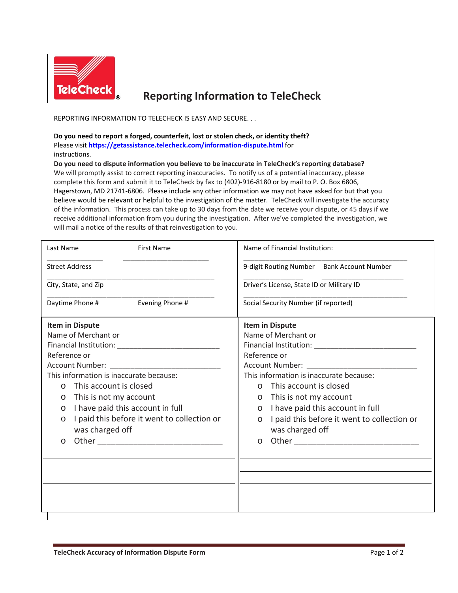

## **Reporting Information to TeleCheck**

REPORTING INFORMATION TO TELECHECK IS EASY AND SECURE. . .

**Do you need to report a forged, counterfeit, lost or stolen check, or identity theft?**  Please visit **[https://getassistance.telecheck.com/information-dispute.html](http://www.firstdata.com/telecheck/telecheck-check-fraud.htm)** for instructions.

**Do you need to dispute information you believe to be inaccurate in TeleCheck's reporting database?** We will promptly assist to correct reporting inaccuracies. To notify us of a potential inaccuracy, please complete this form and submit it to TeleCheck by fax to (402)-916-8180 or by mail to P. O. Box 6806, Hagerstown, MD 21741-6806. Please include any other information we may not have asked for but that you believe would be relevant or helpful to the investigation of the matter. TeleCheck will investigate the accuracy of the information. This process can take up to 30 days from the date we receive your dispute, or 45 days if we receive additional information from you during the investigation. After we've completed the investigation, we will mail a notice of the results of that reinvestigation to you.

| Last Name                                     | <b>First Name</b>                           | Name of Financial Institution:                         |  |
|-----------------------------------------------|---------------------------------------------|--------------------------------------------------------|--|
|                                               | <b>Street Address</b>                       | 9-digit Routing Number Bank Account Number             |  |
|                                               | City, State, and Zip                        | Driver's License, State ID or Military ID              |  |
|                                               | Evening Phone #<br>Daytime Phone #          | Social Security Number (if reported)                   |  |
| <b>Item in Dispute</b><br>Name of Merchant or |                                             | <b>Item in Dispute</b><br>Name of Merchant or          |  |
|                                               |                                             |                                                        |  |
| Reference or                                  |                                             | Reference or                                           |  |
|                                               |                                             |                                                        |  |
| This information is inaccurate because:       |                                             | This information is inaccurate because:                |  |
| $\Omega$                                      | This account is closed                      | o This account is closed                               |  |
| $\circ$                                       | This is not my account                      | o This is not my account                               |  |
| $\circ$                                       | I have paid this account in full            | o I have paid this account in full                     |  |
| $\circ$                                       | I paid this before it went to collection or | I paid this before it went to collection or<br>$\circ$ |  |
|                                               | was charged off                             | was charged off                                        |  |
| $\circ$                                       |                                             | $\circ$                                                |  |
|                                               |                                             |                                                        |  |
|                                               |                                             |                                                        |  |
|                                               |                                             |                                                        |  |
|                                               |                                             |                                                        |  |
|                                               |                                             |                                                        |  |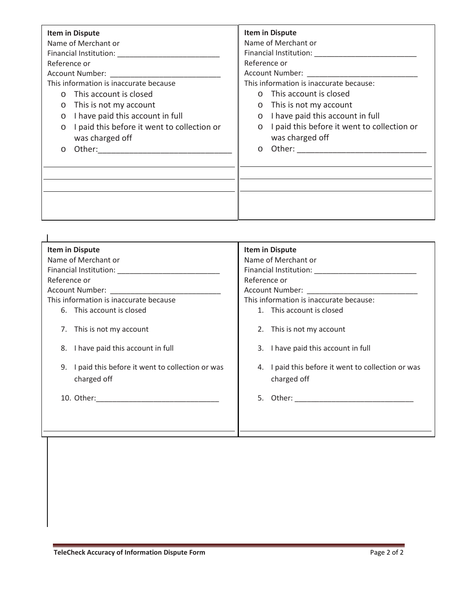| Item in Dispute                                                                                                                                                                                                                |                                             | <b>Item in Dispute</b>                          |                                             |
|--------------------------------------------------------------------------------------------------------------------------------------------------------------------------------------------------------------------------------|---------------------------------------------|-------------------------------------------------|---------------------------------------------|
| Name of Merchant or                                                                                                                                                                                                            |                                             | Name of Merchant or                             |                                             |
|                                                                                                                                                                                                                                |                                             | Financial Institution: National Communistration |                                             |
| Reference or                                                                                                                                                                                                                   |                                             | Reference or                                    |                                             |
| Account Number: The country of the country of the country of the country of the country of the country of the country of the country of the country of the country of the country of the country of the country of the country |                                             | Account Number: North Section 1997              |                                             |
| This information is inaccurate because                                                                                                                                                                                         |                                             | This information is inaccurate because:         |                                             |
| This account is closed                                                                                                                                                                                                         |                                             |                                                 | o This account is closed                    |
| This is not my account<br>$\circ$                                                                                                                                                                                              |                                             |                                                 | $\circ$ This is not my account              |
| $\bigcirc$                                                                                                                                                                                                                     | I have paid this account in full            |                                                 | o I have paid this account in full          |
| $\circ$                                                                                                                                                                                                                        | I paid this before it went to collection or | $\circ$                                         | I paid this before it went to collection or |
| was charged off                                                                                                                                                                                                                |                                             |                                                 | was charged off                             |
| $\circ$                                                                                                                                                                                                                        |                                             | $\circ$                                         |                                             |
|                                                                                                                                                                                                                                |                                             |                                                 |                                             |
|                                                                                                                                                                                                                                |                                             |                                                 |                                             |
|                                                                                                                                                                                                                                |                                             |                                                 |                                             |
|                                                                                                                                                                                                                                |                                             |                                                 |                                             |
|                                                                                                                                                                                                                                |                                             |                                                 |                                             |
|                                                                                                                                                                                                                                |                                             |                                                 |                                             |

| <b>Item in Dispute</b>                                                                                         | <b>Item in Dispute</b>                                                                                         |  |
|----------------------------------------------------------------------------------------------------------------|----------------------------------------------------------------------------------------------------------------|--|
| Name of Merchant or                                                                                            | Name of Merchant or                                                                                            |  |
| Financial Institution: National Action of the Contractor of the Contractor of the Contractor of the Contractor | Financial Institution: National Action of the Contractor of the Contractor of the Contractor of the Contractor |  |
| Reference or                                                                                                   | Reference or                                                                                                   |  |
| Account Number: National Property of the County of the County of the County of the County of the County of the | Account Number: __________________                                                                             |  |
| This information is inaccurate because                                                                         | This information is inaccurate because:                                                                        |  |
| 6. This account is closed                                                                                      | 1. This account is closed                                                                                      |  |
| This is not my account<br>7.                                                                                   | 2. This is not my account                                                                                      |  |
| 8. I have paid this account in full                                                                            | 3. I have paid this account in full                                                                            |  |
| 9. I paid this before it went to collection or was<br>charged off                                              | 4. I paid this before it went to collection or was<br>charged off                                              |  |
|                                                                                                                |                                                                                                                |  |
|                                                                                                                |                                                                                                                |  |
|                                                                                                                |                                                                                                                |  |
|                                                                                                                |                                                                                                                |  |